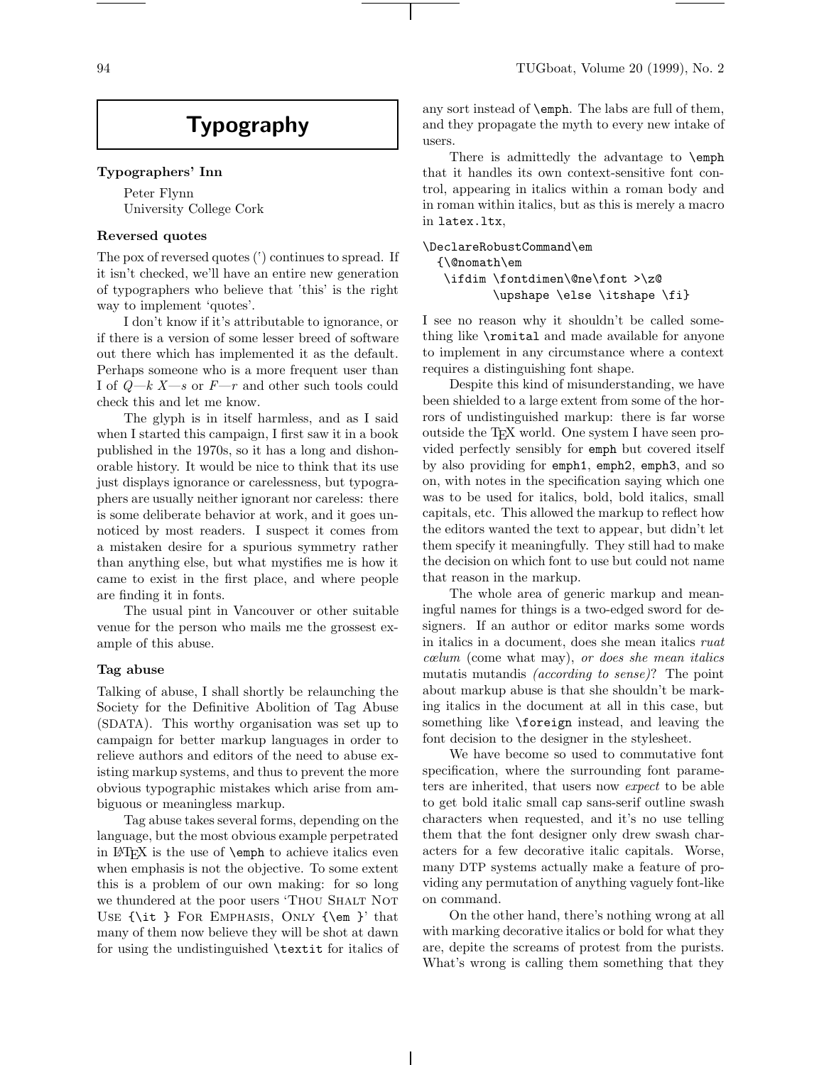# **Typography**

#### **Typographers' Inn**

Peter Flynn University College Cork

## **Reversed quotes**

The pox of reversed quotes ( $\dot{\ }$ ) continues to spread. If it isn't checked, we'll have an entire new generation of typographers who believe that 'this' is the right way to implement 'quotes'.

I don't know if it's attributable to ignorance, or if there is a version of some lesser breed of software out there which has implemented it as the default. Perhaps someone who is a more frequent user than I of  $Q-k X-s$  or  $F-r$  and other such tools could check this and let me know.

The glyph is in itself harmless, and as I said when I started this campaign, I first saw it in a book published in the 1970s, so it has a long and dishonorable history. It would be nice to think that its use just displays ignorance or carelessness, but typographers are usually neither ignorant nor careless: there is some deliberate behavior at work, and it goes unnoticed by most readers. I suspect it comes from a mistaken desire for a spurious symmetry rather than anything else, but what mystifies me is how it came to exist in the first place, and where people are finding it in fonts.

The usual pint in Vancouver or other suitable venue for the person who mails me the grossest example of this abuse.

#### **Tag abuse**

Talking of abuse, I shall shortly be relaunching the Society for the Definitive Abolition of Tag Abuse (SDATA). This worthy organisation was set up to campaign for better markup languages in order to relieve authors and editors of the need to abuse existing markup systems, and thus to prevent the more obvious typographic mistakes which arise from ambiguous or meaningless markup.

Tag abuse takes several forms, depending on the language, but the most obvious example perpetrated in LATEX is the use of \emph to achieve italics even when emphasis is not the objective. To some extent this is a problem of our own making: for so long we thundered at the poor users 'Thou Shalt Not Use {\it } For Emphasis, Only {\em }' that many of them now believe they will be shot at dawn for using the undistinguished \textit for italics of any sort instead of \emph. The labs are full of them, and they propagate the myth to every new intake of users.

There is admittedly the advantage to  $\epsilon$ that it handles its own context-sensitive font control, appearing in italics within a roman body and in roman within italics, but as this is merely a macro in latex.ltx,

```
\DeclareRobustCommand\em
{\@nomath\em
  \ifdim \fontdimen\@ne\font >\z@
         \upshape \else \itshape \fi}
```
I see no reason why it shouldn't be called something like \romital and made available for anyone to implement in any circumstance where a context requires a distinguishing font shape.

Despite this kind of misunderstanding, we have been shielded to a large extent from some of the horrors of undistinguished markup: there is far worse outside the TEX world. One system I have seen provided perfectly sensibly for emph but covered itself by also providing for emph1, emph2, emph3, and so on, with notes in the specification saying which one was to be used for italics, bold, bold italics, small capitals, etc. This allowed the markup to reflect how the editors wanted the text to appear, but didn't let them specify it meaningfully. They still had to make the decision on which font to use but could not name that reason in the markup.

The whole area of generic markup and meaningful names for things is a two-edged sword for designers. If an author or editor marks some words in italics in a document, does she mean italics ruat cœlum (come what may), or does she mean italics mutatis mutandis (according to sense)? The point about markup abuse is that she shouldn't be marking italics in the document at all in this case, but something like \foreign instead, and leaving the font decision to the designer in the stylesheet.

We have become so used to commutative font specification, where the surrounding font parameters are inherited, that users now expect to be able to get bold italic small cap sans-serif outline swash characters when requested, and it's no use telling them that the font designer only drew swash characters for a few decorative italic capitals. Worse, many DTP systems actually make a feature of providing any permutation of anything vaguely font-like on command.

On the other hand, there's nothing wrong at all with marking decorative italics or bold for what they are, depite the screams of protest from the purists. What's wrong is calling them something that they